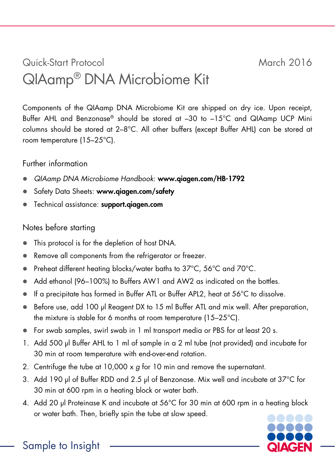## Quick-Start Protocol March 2016 QIAamp® DNA Microbiome Kit

Components of the QIAamp DNA Microbiome Kit are shipped on dry ice. Upon receipt, Buffer AHL and Benzonase® should be stored at –30 to –15°C and QIAamp UCP Mini columns should be stored at 2–8°C. All other buffers (except Buffer AHL) can be stored at room temperature (15–25°C).

Further information

- *QIAamp DNA Microbiome Handbook*: www.qiagen.com/HB-1792
- Safety Data Sheets: www.qiagen.com/safety
- Technical assistance: support.qiagen.com

## Notes before starting

- This protocol is for the depletion of host DNA.
- Remove all components from the refrigerator or freezer.
- Preheat different heating blocks/water baths to 37°C, 56°C and 70°C.
- Add ethanol (96–100%) to Buffers AW1 and AW2 as indicated on the bottles.
- If a precipitate has formed in Buffer ATL or Buffer APL2, heat at 56°C to dissolve.
- Before use, add 100 µl Reagent DX to 15 ml Buffer ATL and mix well. After preparation, the mixture is stable for 6 months at room temperature (15–25°C).
- For swab samples, swirl swab in 1 ml transport media or PBS for at least 20 s.
- 1. Add 500 µl Buffer AHL to 1 ml of sample in a 2 ml tube (not provided) and incubate for 30 min at room temperature with end-over-end rotation.
- 2. Centrifuge the tube at 10,000 x *g* for 10 min and remove the supernatant.
- 3. Add 190 µl of Buffer RDD and 2.5 µl of Benzonase. Mix well and incubate at 37°C for 30 min at 600 rpm in a heating block or water bath.
- 4. Add 20 µl Proteinase K and incubate at 56°C for 30 min at 600 rpm in a heating block or water bath. Then, briefly spin the tube at slow speed.



Sample to Insight